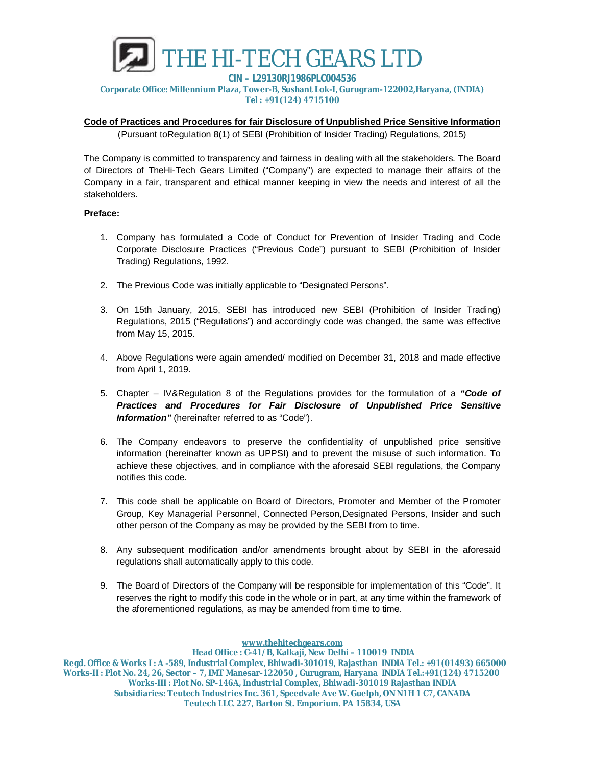

**Corporate Office: Millennium Plaza, Tower-B, Sushant Lok-I, Gurugram-122002,Haryana, (INDIA) Tel : +91(124) 4715100**

## **Code of Practices and Procedures for fair Disclosure of Unpublished Price Sensitive Information**

(Pursuant toRegulation 8(1) of SEBI (Prohibition of Insider Trading) Regulations, 2015)

The Company is committed to transparency and fairness in dealing with all the stakeholders. The Board of Directors of TheHi-Tech Gears Limited ("Company") are expected to manage their affairs of the Company in a fair, transparent and ethical manner keeping in view the needs and interest of all the stakeholders.

## **Preface:**

- 1. Company has formulated a Code of Conduct for Prevention of Insider Trading and Code Corporate Disclosure Practices ("Previous Code") pursuant to SEBI (Prohibition of Insider Trading) Regulations, 1992.
- 2. The Previous Code was initially applicable to "Designated Persons".
- 3. On 15th January, 2015, SEBI has introduced new SEBI (Prohibition of Insider Trading) Regulations, 2015 ("Regulations") and accordingly code was changed, the same was effective from May 15, 2015.
- 4. Above Regulations were again amended/ modified on December 31, 2018 and made effective from April 1, 2019.
- 5. Chapter IV&Regulation 8 of the Regulations provides for the formulation of a *"Code of Practices and Procedures for Fair Disclosure of Unpublished Price Sensitive Information"* (hereinafter referred to as "Code").
- 6. The Company endeavors to preserve the confidentiality of unpublished price sensitive information (hereinafter known as UPPSI) and to prevent the misuse of such information. To achieve these objectives, and in compliance with the aforesaid SEBI regulations, the Company notifies this code.
- 7. This code shall be applicable on Board of Directors, Promoter and Member of the Promoter Group, Key Managerial Personnel, Connected Person,Designated Persons, Insider and such other person of the Company as may be provided by the SEBI from to time.
- 8. Any subsequent modification and/or amendments brought about by SEBI in the aforesaid regulations shall automatically apply to this code.
- 9. The Board of Directors of the Company will be responsible for implementation of this "Code". It reserves the right to modify this code in the whole or in part, at any time within the framework of the aforementioned regulations, as may be amended from time to time.

**www.thehitechgears.com**

**Head Office : C-41/B, Kalkaji, New Delhi – 110019 INDIA Regd. Office & Works I : A -589, Industrial Complex, Bhiwadi-301019, Rajasthan INDIA Tel.: +91(01493) 665000 Works-II : Plot No. 24, 26, Sector – 7, IMT Manesar-122050 , Gurugram, Haryana INDIA Tel.:+91(124) 4715200 Works-III : Plot No. SP-146A, Industrial Complex, Bhiwadi-301019 Rajasthan INDIA Subsidiaries: Teutech Industries Inc. 361, Speedvale Ave W. Guelph, ON N1H 1 C7, CANADA Teutech LLC. 227, Barton St. Emporium. PA 15834, USA**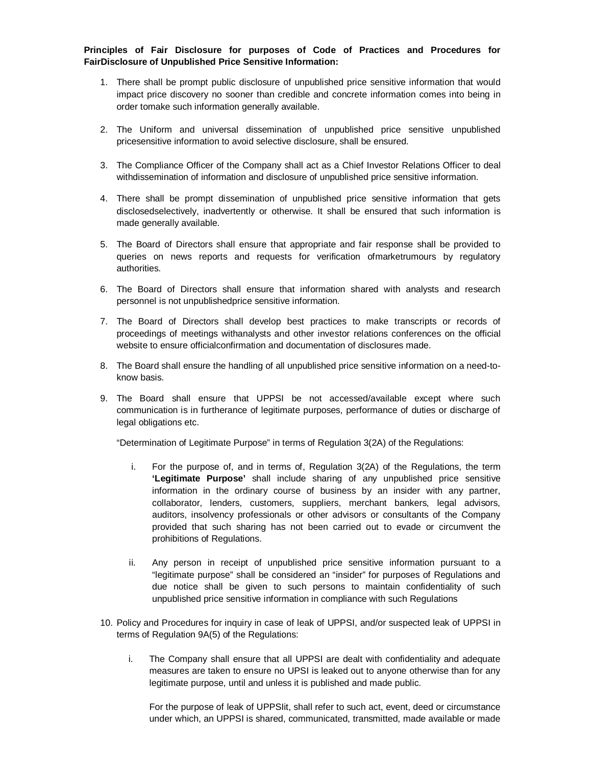**Principles of Fair Disclosure for purposes of Code of Practices and Procedures for FairDisclosure of Unpublished Price Sensitive Information:**

- 1. There shall be prompt public disclosure of unpublished price sensitive information that would impact price discovery no sooner than credible and concrete information comes into being in order tomake such information generally available.
- 2. The Uniform and universal dissemination of unpublished price sensitive unpublished pricesensitive information to avoid selective disclosure, shall be ensured.
- 3. The Compliance Officer of the Company shall act as a Chief Investor Relations Officer to deal withdissemination of information and disclosure of unpublished price sensitive information.
- 4. There shall be prompt dissemination of unpublished price sensitive information that gets disclosedselectively, inadvertently or otherwise. It shall be ensured that such information is made generally available.
- 5. The Board of Directors shall ensure that appropriate and fair response shall be provided to queries on news reports and requests for verification ofmarketrumours by regulatory authorities.
- 6. The Board of Directors shall ensure that information shared with analysts and research personnel is not unpublishedprice sensitive information.
- 7. The Board of Directors shall develop best practices to make transcripts or records of proceedings of meetings withanalysts and other investor relations conferences on the official website to ensure officialconfirmation and documentation of disclosures made.
- 8. The Board shall ensure the handling of all unpublished price sensitive information on a need-toknow basis.
- 9. The Board shall ensure that UPPSI be not accessed/available except where such communication is in furtherance of legitimate purposes, performance of duties or discharge of legal obligations etc.

"Determination of Legitimate Purpose" in terms of Regulation 3(2A) of the Regulations:

- i. For the purpose of, and in terms of, Regulation 3(2A) of the Regulations, the term **'Legitimate Purpose'** shall include sharing of any unpublished price sensitive information in the ordinary course of business by an insider with any partner, collaborator, lenders, customers, suppliers, merchant bankers, legal advisors, auditors, insolvency professionals or other advisors or consultants of the Company provided that such sharing has not been carried out to evade or circumvent the prohibitions of Regulations.
- ii. Any person in receipt of unpublished price sensitive information pursuant to a "legitimate purpose" shall be considered an "insider" for purposes of Regulations and due notice shall be given to such persons to maintain confidentiality of such unpublished price sensitive information in compliance with such Regulations
- 10. Policy and Procedures for inquiry in case of leak of UPPSI, and/or suspected leak of UPPSI in terms of Regulation 9A(5) of the Regulations:
	- i. The Company shall ensure that all UPPSI are dealt with confidentiality and adequate measures are taken to ensure no UPSI is leaked out to anyone otherwise than for any legitimate purpose, until and unless it is published and made public.

For the purpose of leak of UPPSIit, shall refer to such act, event, deed or circumstance under which, an UPPSI is shared, communicated, transmitted, made available or made